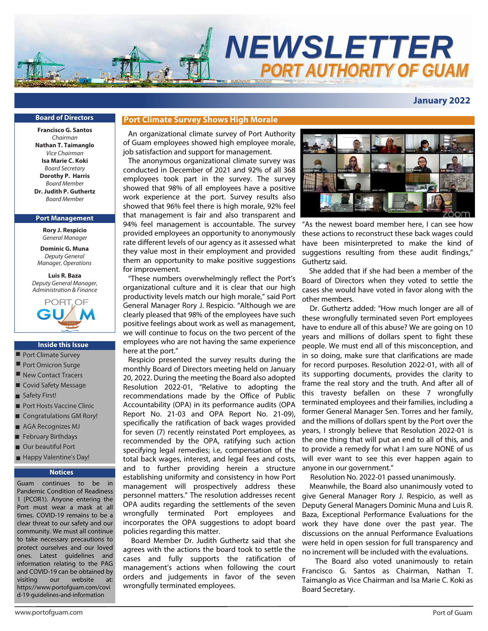

# **January 2022**

#### **Board of Directors**

**Francisco G. Santos** Chairman **Nathan T. Taimanglo** Vice Chairman **Isa Marie C. Koki** Board Secretary **Dorothy P. Harris** Board Member **Dr. Judith P. Guthertz** Board Member

#### **Port Management**

**Rory J. Respicio** *General Manager*

**Dominic G. Muna** *Deputy General Manager, Operations*

**Luis R. Baza** *Deputy General Manager, Administration & Finance*



#### **Inside this Issue**

- Port Climate Survey
- Port Omicron Surge
- New Contact Tracers
- Covid Safety Message
- Safety First!
- Port Hosts Vaccine Clinic
- Congratulations GM Rory!
- AGA Recognizes MJ
- February Birthdays
- Our beautiful Port
- Happy Valentine's Day!

# **Notices**

Guam continues to be in Pandemic Condition of Readiness 1 (PCOR1). Anyone entering the Port must wear a mask at all times. COVID-19 remains to be a clear threat to our safety and our community. We must all continue to take necessary precautions to protect ourselves and our loved ones. Latest guidelines and information relating to the PAG and COVID-19 can be obtained by visiting our website at: https://www.portofguam.com/covi d-19-guidelines-and-information

### **Port Climate Survey Shows High Morale**

An organizational climate survey of Port Authority of Guam employees showed high employee morale, job satisfaction and support for management.

The anonymous organizational climate survey was conducted in December of 2021 and 92% of all 368 employees took part in the survey. The survey showed that 98% of all employees have a positive work experience at the port. Survey results also showed that 96% feel there is high morale, 92% feel that management is fair and also transparent and 94% feel management is accountable. The survey provided employees an opportunity to anonymously rate different levels of our agency as it assessed what they value most in their employment and provided them an opportunity to make positive suggestions for improvement.

"These numbers overwhelmingly reflect the Port's organizational culture and it is clear that our high productivity levels match our high morale," said Port General Manager Rory J. Respicio. "Although we are clearly pleased that 98% of the employees have such positive feelings about work as well as management, we will continue to focus on the two percent of the employees who are not having the same experience here at the port."

Respicio presented the survey results during the monthly Board of Directors meeting held on January 20, 2022. During the meeting the Board also adopted Resolution 2022-01, "Relative to adopting the recommendations made by the Office of Public Accountability (OPA) in its performance audits (OPA Report No. 21-03 and OPA Report No. 21-09), specifically the ratification of back wages provided for seven (7) recently reinstated Port employees, as recommended by the OPA, ratifying such action specifying legal remedies; i.e, compensation of the total back wages, interest, and legal fees and costs, and to further providing herein a structure establishing uniformity and consistency in how Port management will prospectively address these personnel matters." The resolution addresses recent OPA audits regarding the settlements of the seven wrongfully terminated Port employees and incorporates the OPA suggestions to adopt board policies regarding this matter.

 Board Member Dr. Judith Guthertz said that she agrees with the actions the board took to settle the cases and fully supports the ratification of management's actions when following the court orders and judgements in favor of the seven wrongfully terminated employees.



"As the newest board member here, I can see how these actions to reconstruct these back wages could have been misinterpreted to make the kind of suggestions resulting from these audit findings," Guthertz said.

 She added that if she had been a member of the Board of Directors when they voted to settle the cases she would have voted in favor along with the other members.

 Dr. Guthertz added: "How much longer are all of these wrongfully terminated seven Port employees have to endure all of this abuse? We are going on 10 years and millions of dollars spent to fight these people. We must end all of this misconception, and in so doing, make sure that clarifications are made for record purposes. Resolution 2022-01, with all of its supporting documents, provides the clarity to frame the real story and the truth. And after all of this travesty befallen on these 7 wrongfully terminated employees and their families, including a former General Manager Sen. Torres and her family, and the millions of dollars spent by the Port over the years, I strongly believe that Resolution 2022-01 is the one thing that will put an end to all of this, and to provide a remedy for what I am sure NONE of us will ever want to see this ever happen again to anyone in our government."

Resolution No. 2022-01 passed unanimously.

 Meanwhile, the Board also unanimously voted to give General Manager Rory J. Respicio, as well as Deputy General Managers Dominic Muna and Luis R. Baza, Exceptional Performance Evaluations for the work they have done over the past year. The discussions on the annual Performance Evaluations were held in open session for full transparency and no increment will be included with the evaluations.

 The Board also voted unanimously to retain Francisco G. Santos as Chairman, Nathan T. Taimanglo as Vice Chairman and Isa Marie C. Koki as Board Secretary.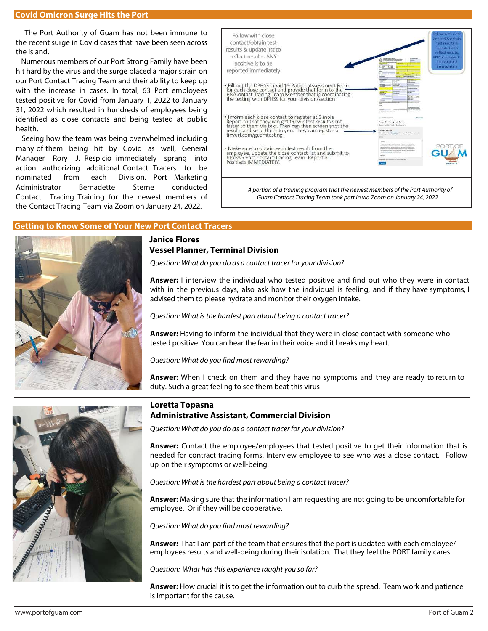#### **Covid Omicron Surge Hits the Port**

 The Port Authority of Guam has not been immune to the recent surge in Covid cases that have been seen across the island.

 Numerous members of our Port Strong Family have been hit hard by the virus and the surge placed a major strain on our Port Contact Tracing Team and their ability to keep up with the increase in cases. In total, 63 Port employees tested positive for Covid from January 1, 2022 to January 31, 2022 which resulted in hundreds of employees being identified as close contacts and being tested at public health.

 Seeing how the team was being overwhelmed including many of them being hit by Covid as well, General Manager Rory J. Respicio immediately sprang into action authorizing additional Contact Tracers to be nominated from each Division. Port Marketing Administrator Bernadette Sterne conducted Contact Tracing Training for the newest members of the Contact Tracing Team via Zoom on January 24, 2022.



### **Getting to Know Some of Your New Port Contact Tracers**



# **Janice Flores Vessel Planner, Terminal Division**

Question: What do you do as a contact tracer for your division?

**Answer:** I interview the individual who tested positive and find out who they were in contact with in the previous days, also ask how the individual is feeling, and if they have symptoms, I advised them to please hydrate and monitor their oxygen intake.

Question: What is the hardest part about being a contact tracer?

**Answer:** Having to inform the individual that they were in close contact with someone who tested positive. You can hear the fear in their voice and it breaks my heart.

Question: What do you find most rewarding?

**Answer:** When I check on them and they have no symptoms and they are ready to return to duty. Such a great feeling to see them beat this virus

# **Loretta Topasna Administrative Assistant, Commercial Division**

Question: What do you do as a contact tracer for your division?

**Answer:** Contact the employee/employees that tested positive to get their information that is needed for contract tracing forms. Interview employee to see who was a close contact. Follow up on their symptoms or well-being.

Question: What is the hardest part about being a contact tracer?

**Answer:** Making sure that the information I am requesting are not going to be uncomfortable for employee. Or if they will be cooperative.

Question: What do you find most rewarding?

**Answer:** That I am part of the team that ensures that the port is updated with each employee/ employees results and well-being during their isolation. That they feel the PORT family cares.

Question: What has this experience taught you so far?

**Answer:** How crucial it is to get the information out to curb the spread. Team work and patience is important for the cause.

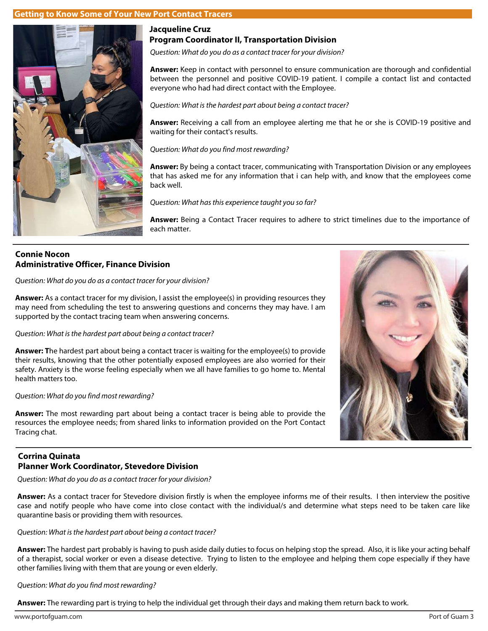# **Getting to Know Some of Your New Port Contact Tracers**



# **Jacqueline Cruz Program Coordinator II, Transportation Division**

Question: What do you do as a contact tracer for your division?

**Answer:** Keep in contact with personnel to ensure communication are thorough and confidential between the personnel and positive COVID-19 patient. I compile a contact list and contacted everyone who had had direct contact with the Employee.

Question: What is the hardest part about being a contact tracer?

**Answer:** Receiving a call from an employee alerting me that he or she is COVID-19 positive and waiting for their contact's results.

Question: What do you find most rewarding?

**Answer:** By being a contact tracer, communicating with Transportation Division or any employees that has asked me for any information that i can help with, and know that the employees come back well.

Question: What has this experience taught you so far?

**Answer:** Being a Contact Tracer requires to adhere to strict timelines due to the importance of each matter.

# **Connie Nocon Administrative Officer, Finance Division**

Question: What do you do as a contact tracer for your division?

**Answer:** As a contact tracer for my division, I assist the employee(s) in providing resources they may need from scheduling the test to answering questions and concerns they may have. I am supported by the contact tracing team when answering concerns.

Question: What is the hardest part about being a contact tracer?

**Answer: T**he hardest part about being a contact tracer is waiting for the employee(s) to provide their results, knowing that the other potentially exposed employees are also worried for their safety. Anxiety is the worse feeling especially when we all have families to go home to. Mental health matters too.

# Question: What do you find most rewarding?

**Answer:** The most rewarding part about being a contact tracer is being able to provide the resources the employee needs; from shared links to information provided on the Port Contact Tracing chat.

# **Corrina Quinata Planner Work Coordinator, Stevedore Division**

Question: What do you do as a contact tracer for your division?

**Answer:** As a contact tracer for Stevedore division firstly is when the employee informs me of their results. I then interview the positive case and notify people who have come into close contact with the individual/s and determine what steps need to be taken care like quarantine basis or providing them with resources.

Question: What is the hardest part about being a contact tracer?

**Answer:** The hardest part probably is having to push aside daily duties to focus on helping stop the spread. Also, it is like your acting behalf of a therapist, social worker or even a disease detective. Trying to listen to the employee and helping them cope especially if they have other families living with them that are young or even elderly.

Question: What do you find most rewarding?

**Answer:** The rewarding part is trying to help the individual get through their days and making them return back to work.



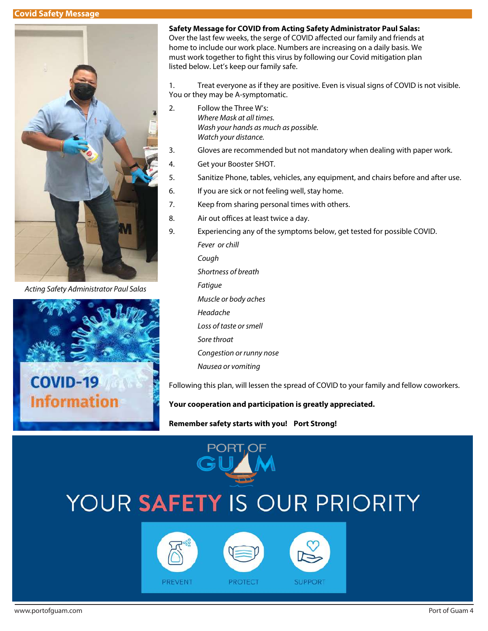#### **Covid Safety Message**



Acting Safety Administrator Paul Salas



**Safety Message for COVID from Acting Safety Administrator Paul Salas:** Over the last few weeks, the serge of COVID affected our family and friends at

home to include our work place. Numbers are increasing on a daily basis. We must work together to fight this virus by following our Covid mitigation plan listed below. Let's keep our family safe.

1. Treat everyone as if they are positive. Even is visual signs of COVID is not visible. You or they may be A-symptomatic.

- 2. Follow the Three W's: Where Mask at all times. Wash your hands as much as possible. Watch your distance.
- 3. Gloves are recommended but not mandatory when dealing with paper work.
- 4. Get your Booster SHOT.
- 5. Sanitize Phone, tables, vehicles, any equipment, and chairs before and after use.
- 6. If you are sick or not feeling well, stay home.
- 7. Keep from sharing personal times with others.
- 8. Air out offices at least twice a day.
- 9. Experiencing any of the symptoms below, get tested for possible COVID. Fever or chill Cough Shortness of breath Fatigue Muscle or body aches Headache Loss of taste or smell Sore throat Congestion or runny nose Nausea or vomiting

Following this plan, will lessen the spread of COVID to your family and fellow coworkers.

**SUPPORT** 

#### **Your cooperation and participation is greatly appreciated.**

#### **Remember safety starts with you! Port Strong!**

# YOUR SAFETY IS OUR PRIORITY

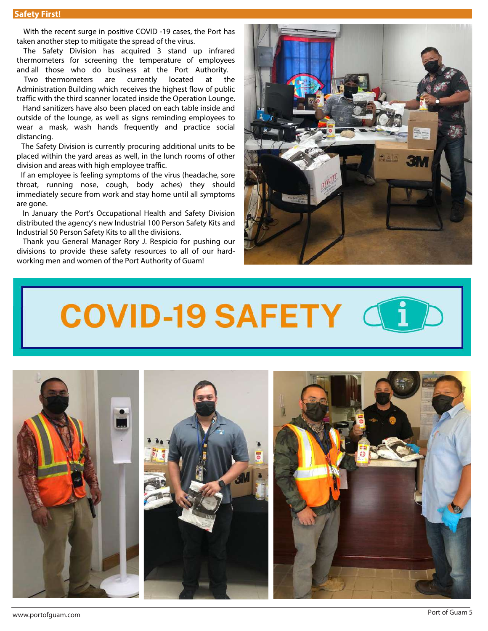With the recent surge in positive COVID -19 cases, the Port has taken another step to mitigate the spread of the virus.

The Safety Division has acquired 3 stand up infrared thermometers for screening the temperature of employees and all those who do business at the Port Authority.

Two thermometers are currently located at the Administration Building which receives the highest flow of public traffic with the third scanner located inside the Operation Lounge.

 Hand sanitizers have also been placed on each table inside and outside of the lounge, as well as signs reminding employees to wear a mask, wash hands frequently and practice social distancing.

The Safety Division is currently procuring additional units to be placed within the yard areas as well, in the lunch rooms of other division and areas with high employee traffic.

 If an employee is feeling symptoms of the virus (headache, sore throat, running nose, cough, body aches) they should immediately secure from work and stay home until all symptoms are gone.

 In January the Port's Occupational Health and Safety Division distributed the agency's new Industrial 100 Person Safety Kits and Industrial 50 Person Safety Kits to all the divisions.

 Thank you General Manager Rory J. Respicio for pushing our divisions to provide these safety resources to all of our hardworking men and women of the Port Authority of Guam!



# **COVID-19 SAFETY**

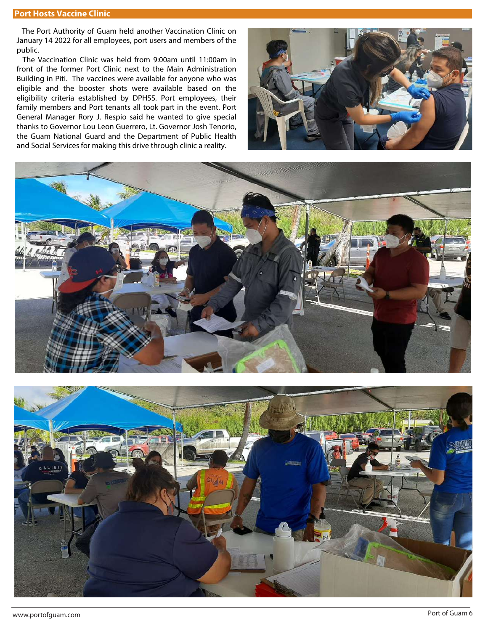#### **Port Hosts Vaccine Clinic**

 The Port Authority of Guam held another Vaccination Clinic on January 14 2022 for all employees, port users and members of the public.

 The Vaccination Clinic was held from 9:00am until 11:00am in front of the former Port Clinic next to the Main Administration Building in Piti. The vaccines were available for anyone who was eligible and the booster shots were available based on the eligibility criteria established by DPHSS. Port employees, their family members and Port tenants all took part in the event. Port General Manager Rory J. Respio said he wanted to give special thanks to Governor Lou Leon Guerrero, Lt. Governor Josh Tenorio, the Guam National Guard and the Department of Public Health and Social Services for making this drive through clinic a reality.





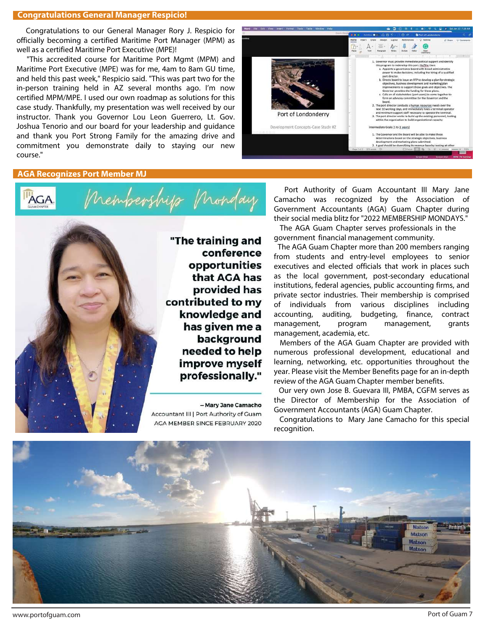#### **Congratulations General Manager Respicio!**

 Congratulations to our General Manager Rory J. Respicio for officially becoming a certified Maritime Port Manager (MPM) as well as a certified Maritime Port Executive (MPE)!

"This accredited course for Maritime Port Mgmt (MPM) and Maritime Port Executive (MPE) was for me, 4am to 8am GU time, and held this past week," Respicio said. "This was part two for the in-person training held in AZ several months ago. I'm now certified MPM/MPE. I used our own roadmap as solutions for this case study. Thankfully, my presentation was well received by our instructor. Thank you Governor Lou Leon Guerrero, Lt. Gov. Joshua Tenorio and our board for your leadership and guidance and thank you Port Strong Family for the amazing drive and commitment you demonstrate daily to staying our new course."



#### **AGA Recognizes Port Member MJ**

Congratulations MJ!



"The training and conference opportunities that AGA has provided has contributed to my knowledge and has given me a background needed to help improve myself professionally."

> - Mary Jane Camacho Accountant III | Port Authority of Guam AGA MEMBER SINCE FEBRUARY 2020

Port Authority of Guam Accountant III Mary Jane Camacho was recognized by the Association of Government Accountants (AGA) Guam Chapter during their social media blitz for "2022 MEMBERSHIP MONDAYS."

 The AGA Guam Chapter serves professionals in the government financial management community.

 The AGA Guam Chapter more than 200 members ranging from students and entry-level employees to senior executives and elected officials that work in places such as the local government, post-secondary educational institutions, federal agencies, public accounting firms, and private sector industries. Their membership is comprised of individuals from various disciplines including accounting, auditing, budgeting, finance, contract management, program management, grants management, academia, etc.

 Members of the AGA Guam Chapter are provided with numerous professional development, educational and learning, networking, etc. opportunities throughout the year. Please visit the Member Benefits page for an in-depth review of the AGA Guam Chapter member benefits.

 Our very own Jose B. Guevara III, PMBA, CGFM serves as the Director of Membership for the Association of Government Accountants (AGA) Guam Chapter.

 Congratulations to Mary Jane Camacho for this special recognition.



www.portofguam.com Port of Guam 7